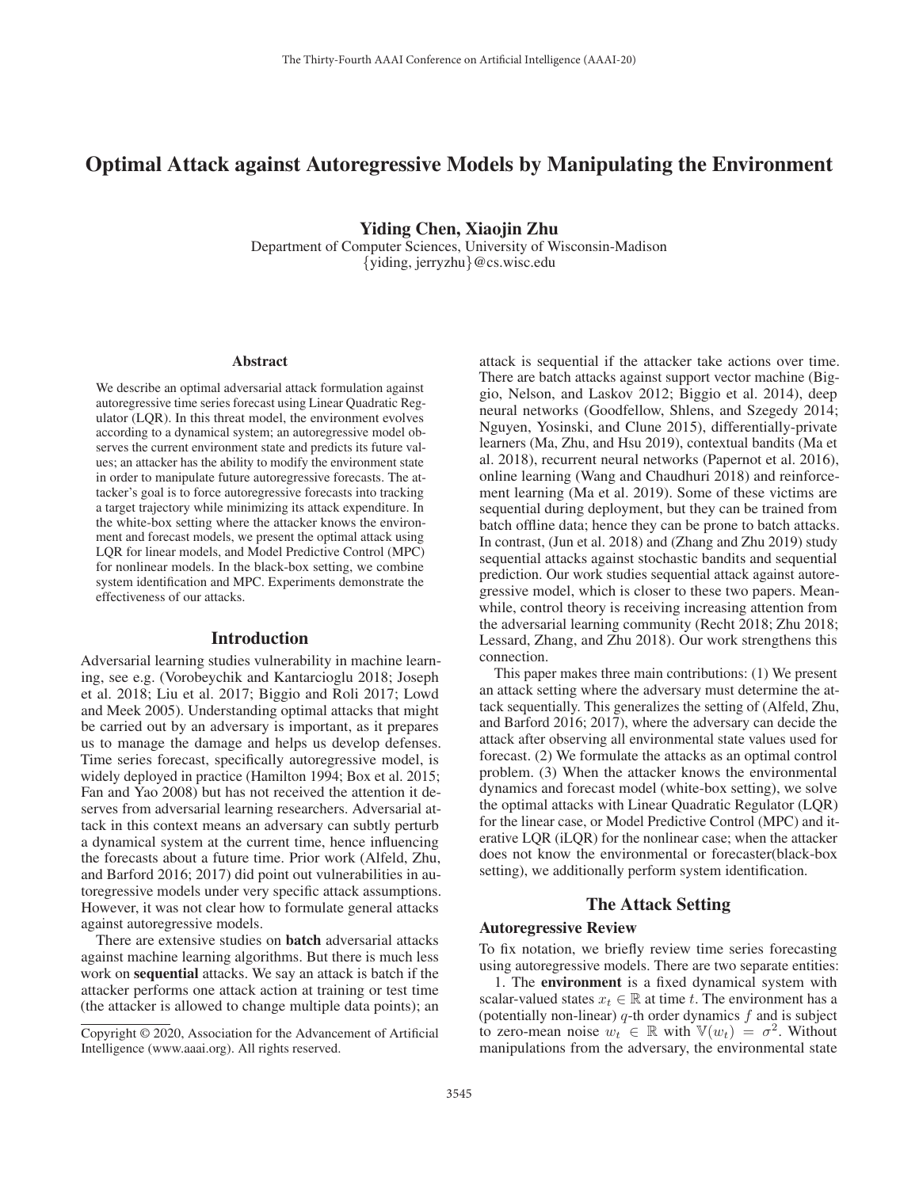## Optimal Attack against Autoregressive Models by Manipulating the Environment

Yiding Chen, Xiaojin Zhu

Department of Computer Sciences, University of Wisconsin-Madison {yiding, jerryzhu}@cs.wisc.edu

#### Abstract

We describe an optimal adversarial attack formulation against autoregressive time series forecast using Linear Quadratic Regulator (LQR). In this threat model, the environment evolves according to a dynamical system; an autoregressive model observes the current environment state and predicts its future values; an attacker has the ability to modify the environment state in order to manipulate future autoregressive forecasts. The attacker's goal is to force autoregressive forecasts into tracking a target trajectory while minimizing its attack expenditure. In the white-box setting where the attacker knows the environment and forecast models, we present the optimal attack using LQR for linear models, and Model Predictive Control (MPC) for nonlinear models. In the black-box setting, we combine system identification and MPC. Experiments demonstrate the effectiveness of our attacks.

#### Introduction

Adversarial learning studies vulnerability in machine learning, see e.g. (Vorobeychik and Kantarcioglu 2018; Joseph et al. 2018; Liu et al. 2017; Biggio and Roli 2017; Lowd and Meek 2005). Understanding optimal attacks that might be carried out by an adversary is important, as it prepares us to manage the damage and helps us develop defenses. Time series forecast, specifically autoregressive model, is widely deployed in practice (Hamilton 1994; Box et al. 2015; Fan and Yao 2008) but has not received the attention it deserves from adversarial learning researchers. Adversarial attack in this context means an adversary can subtly perturb a dynamical system at the current time, hence influencing the forecasts about a future time. Prior work (Alfeld, Zhu, and Barford 2016; 2017) did point out vulnerabilities in autoregressive models under very specific attack assumptions. However, it was not clear how to formulate general attacks against autoregressive models.

There are extensive studies on batch adversarial attacks against machine learning algorithms. But there is much less work on sequential attacks. We say an attack is batch if the attacker performs one attack action at training or test time (the attacker is allowed to change multiple data points); an

attack is sequential if the attacker take actions over time. There are batch attacks against support vector machine (Biggio, Nelson, and Laskov 2012; Biggio et al. 2014), deep neural networks (Goodfellow, Shlens, and Szegedy 2014; Nguyen, Yosinski, and Clune 2015), differentially-private learners (Ma, Zhu, and Hsu 2019), contextual bandits (Ma et al. 2018), recurrent neural networks (Papernot et al. 2016), online learning (Wang and Chaudhuri 2018) and reinforcement learning (Ma et al. 2019). Some of these victims are sequential during deployment, but they can be trained from batch offline data; hence they can be prone to batch attacks. In contrast, (Jun et al. 2018) and (Zhang and Zhu 2019) study sequential attacks against stochastic bandits and sequential prediction. Our work studies sequential attack against autoregressive model, which is closer to these two papers. Meanwhile, control theory is receiving increasing attention from the adversarial learning community (Recht 2018; Zhu 2018; Lessard, Zhang, and Zhu 2018). Our work strengthens this connection.

This paper makes three main contributions: (1) We present an attack setting where the adversary must determine the attack sequentially. This generalizes the setting of (Alfeld, Zhu, and Barford 2016; 2017), where the adversary can decide the attack after observing all environmental state values used for forecast. (2) We formulate the attacks as an optimal control problem. (3) When the attacker knows the environmental dynamics and forecast model (white-box setting), we solve the optimal attacks with Linear Quadratic Regulator (LQR) for the linear case, or Model Predictive Control (MPC) and iterative LQR (iLQR) for the nonlinear case; when the attacker does not know the environmental or forecaster(black-box setting), we additionally perform system identification.

### The Attack Setting

#### Autoregressive Review

To fix notation, we briefly review time series forecasting using autoregressive models. There are two separate entities:

1. The environment is a fixed dynamical system with scalar-valued states  $x_t \in \mathbb{R}$  at time t. The environment has a (potentially non-linear)  $q$ -th order dynamics  $f$  and is subject to zero-mean noise  $w_t \in \mathbb{R}$  with  $\mathbb{V}(w_t) = \sigma^2$ . Without manipulations from the adversary, the environmental state

Copyright © 2020, Association for the Advancement of Artificial Intelligence (www.aaai.org). All rights reserved.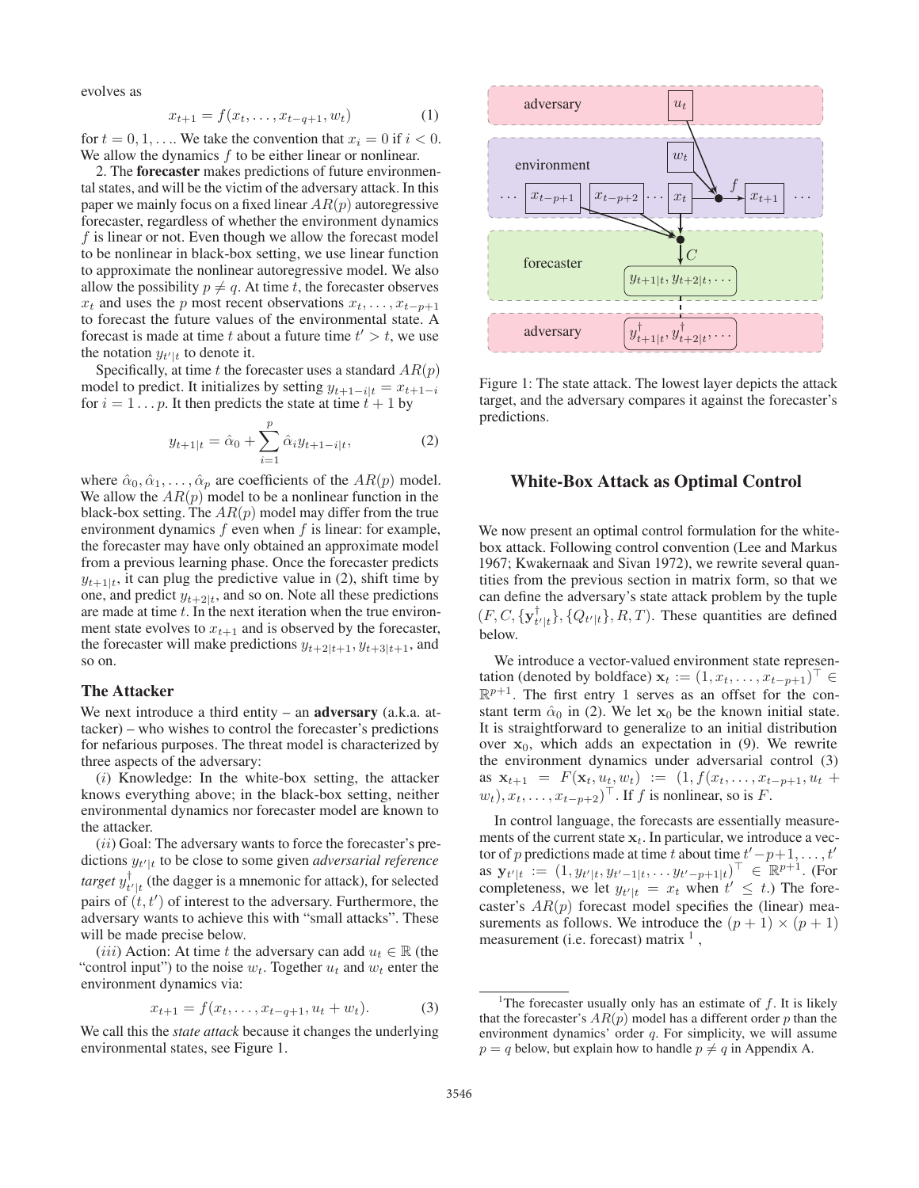evolves as

$$
x_{t+1} = f(x_t, \dots, x_{t-q+1}, w_t)
$$
 (1)

for  $t = 0, 1, \ldots$  We take the convention that  $x_i = 0$  if  $i < 0$ .<br>We allow the dynamics f to be either linear or nonlinear We allow the dynamics  $f$  to be either linear or nonlinear.

2. The forecaster makes predictions of future environmental states, and will be the victim of the adversary attack. In this paper we mainly focus on a fixed linear  $AR(p)$  autoregressive forecaster, regardless of whether the environment dynamics  $f$  is linear or not. Even though we allow the forecast model to be nonlinear in black-box setting, we use linear function to approximate the nonlinear autoregressive model. We also allow the possibility  $p \neq q$ . At time t, the forecaster observes  $x_t$  and uses the p most recent observations  $x_t, \ldots, x_{t-p+1}$ to forecast the future values of the environmental state. A forecast is made at time t about a future time  $t' > t$ , we use<br>the notation  $u_{tt}$  to denote it the notation  $y_{t'|t}$  to denote it.<br>Specifically at time t the form

Specifically, at time t the forecaster uses a standard  $AR(p)$ model to predict. It initializes by setting  $y_{t+1-i|t} = x_{t+1-i}$ for  $i = 1 \dots p$ . It then predicts the state at time  $t + 1$  by

$$
y_{t+1|t} = \hat{\alpha}_0 + \sum_{i=1}^p \hat{\alpha}_i y_{t+1-i|t},
$$
 (2)

where  $\hat{\alpha}_0, \hat{\alpha}_1, \dots, \hat{\alpha}_p$  are coefficients of the  $AR(p)$  model. We allow the  $AR(p)$  model to be a nonlinear function in the black-box setting. The  $AR(p)$  model may differ from the true environment dynamics  $f$  even when  $f$  is linear: for example, the forecaster may have only obtained an approximate model from a previous learning phase. Once the forecaster predicts  $y_{t+1|t}$ , it can plug the predictive value in (2), shift time by one, and predict  $y_{t+2|t}$ , and so on. Note all these predictions are made at time  $t$ . In the next iteration when the true environment state evolves to  $x_{t+1}$  and is observed by the forecaster, the forecaster will make predictions  $y_{t+2|t+1}, y_{t+3|t+1}$ , and so on.

#### The Attacker

We next introduce a third entity – an **adversary** (a.k.a. attacker) – who wishes to control the forecaster's predictions for nefarious purposes. The threat model is characterized by three aspects of the adversary:

 $(i)$  Knowledge: In the white-box setting, the attacker knows everything above; in the black-box setting, neither environmental dynamics nor forecaster model are known to the attacker.

 $(ii)$  Goal: The adversary wants to force the forecaster's predictions  $y_{t'|t}$  to be close to some given *adversarial reference target*  $y_{t'|t}^{\dagger}$  (the dagger is a mnemonic for attack), for selected<br>noise of  $(t, t')$  of interest to the educations. Eurthermore, the pairs of  $(t, t')$  of interest to the adversary. Furthermore, the adversary wants to achieve this with "small attacks". These adversary wants to achieve this with "small attacks". These will be made precise below.

(*iii*) Action: At time t the adversary can add  $u_t \in \mathbb{R}$  (the "control input") to the noise  $w_t$ . Together  $u_t$  and  $w_t$  enter the environment dynamics via:

$$
x_{t+1} = f(x_t, \dots, x_{t-q+1}, u_t + w_t).
$$
 (3)

We call this the *state attack* because it changes the underlying environmental states, see Figure 1.



Figure 1: The state attack. The lowest layer depicts the attack target, and the adversary compares it against the forecaster's predictions.

#### White-Box Attack as Optimal Control

We now present an optimal control formulation for the whitebox attack. Following control convention (Lee and Markus 1967; Kwakernaak and Sivan 1972), we rewrite several quantities from the previous section in matrix form, so that we can define the adversary's state attack problem by the tuple  $(F, C, \{y_{t'|t}^{\dagger}\}, \{Q_{t'|t}\}, R, T)$ . These quantities are defined below.

We introduce a vector-valued environment state representation (denoted by boldface)  $\mathbf{x}_t := (1, x_t, \dots, x_{t-p+1})^\top \in$  $\mathbb{R}^{p+1}$ . The first entry 1 serves as an offset for the constant term  $\hat{\alpha}_0$  in (2). We let  $\mathbf{x}_0$  be the known initial state. It is straightforward to generalize to an initial distribution over  $x_0$ , which adds an expectation in (9). We rewrite the environment dynamics under adversarial control (3) as  $\mathbf{x}_{t+1} = F(\mathbf{x}_t, u_t, w_t) := (1, f(x_t, \ldots, x_{t-p+1}, u_t +$  $w_t$ ,  $x_t$ , ...,  $x_{t-p+2}$ )<sup> $\top$ </sup>. If *f* is nonlinear, so is *F*.

In control language, the forecasts are essentially measurements of the current state  $x_t$ . In particular, we introduce a vector of p predictions made at time t about time  $t'-p+1,\ldots,t'$ <br>as  $\mathbf{y}_{t'|t} := (1, y_{t'|t}, y_{t'-1|t}, \ldots y_{t'-p+1|t})^\top \in \mathbb{R}^{p+1}$ . (For  $\ell$  -  $p+1,\ldots,t'$ completeness, we let  $y_{t'|t} = x_t$  when  $t' \leq t$ .) The fore-<br>caster's  $AB(n)$  forecast model specifies the (linear) meacaster's  $AR(p)$  forecast model specifies the (linear) measurements as follows. We introduce the  $(p + 1) \times (p + 1)$ measurement (i.e. forecast) matrix  $\frac{1}{1}$ ,

<sup>&</sup>lt;sup>1</sup>The forecaster usually only has an estimate of  $f$ . It is likely that the forecaster's  $AR(p)$  model has a different order p than the environment dynamics' order  $q$ . For simplicity, we will assume  $p = q$  below, but explain how to handle  $p \neq q$  in Appendix A.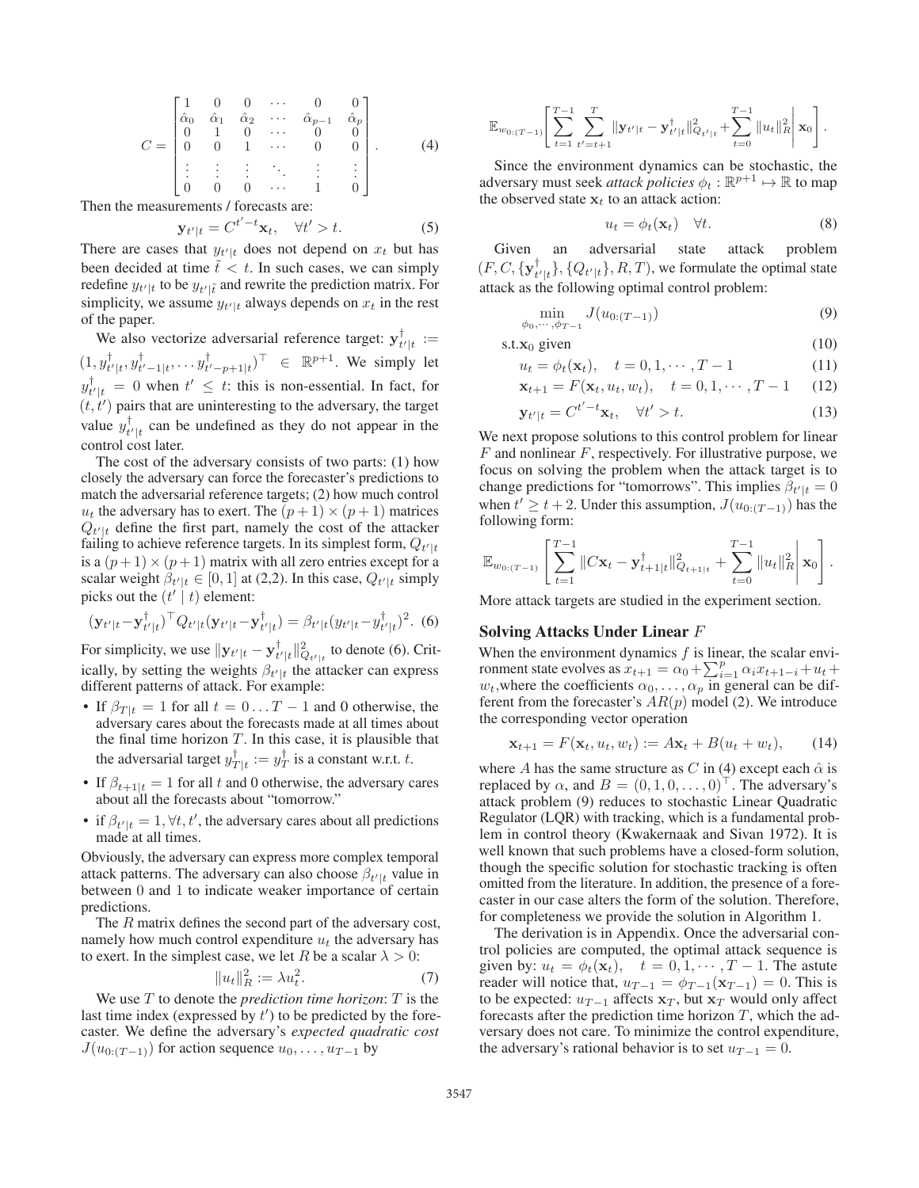$$
C = \begin{bmatrix} 1 & 0 & 0 & \cdots & 0 & 0 \\ \hat{\alpha}_0 & \hat{\alpha}_1 & \hat{\alpha}_2 & \cdots & \hat{\alpha}_{p-1} & \hat{\alpha}_p \\ 0 & 1 & 0 & \cdots & 0 & 0 \\ 0 & 0 & 1 & \cdots & 0 & 0 \\ \vdots & \vdots & \vdots & \ddots & \vdots & \vdots \\ 0 & 0 & 0 & \cdots & 1 & 0 \end{bmatrix} . \tag{4}
$$

Then the measurements / forecasts are:

$$
\mathbf{y}_{t'|t} = C^{t'-t}\mathbf{x}_t, \quad \forall t' > t. \tag{5}
$$

There are cases that  $y_{t'|t}$  does not depend on  $x_t$  but has been decided at time  $\tilde{t} < t$ . In such cases, we can simply redefine  $y_{t'|t}$  to be  $y_{t'|\tilde{t}}$  and rewrite the prediction matrix. For<br>simplicity we assume  $y_{t+1}$  always depends on  $x_t$  in the rest simplicity, we assume  $y_{t'|t}$  always depends on  $x_t$  in the rest of the paper of the paper.

We also vectorize adversarial reference target:  $y_{t'|t}^{\top} :=$  $(1, y_{t'|t}^{\dagger}, y_{t'-1|t}^{\dagger}, \dots, y_{t'-p+1|t}^{\dagger})^{\top} \in \mathbb{R}^{p+1}$ . We simply let  $y_{t/t}^{\dagger} = 0$  when  $t' \leq t$ : this is non-essential. In fact, for  $(t, t')$  point that are unit together to the adversary the term  $(t, t')$  pairs that are uninteresting to the adversary, the target<br>
value  $s_t^{\dagger}$  can be undefined as they do not ennear in the value  $y_{t'|t}^{\dagger}$  can be undefined as they do not appear in the control cost later. control cost later.

The cost of the adversary consists of two parts: (1) how closely the adversary can force the forecaster's predictions to match the adversarial reference targets; (2) how much control  $u_t$  the adversary has to exert. The  $(p+1) \times (p+1)$  matrices  $Q_t$ <sub>l</sub> define the first part, namely the cost of the attacker<br>failing to achieve reference targets. In its simplest form,  $Q_{t'|t}$ <br>is a  $(n+1) \times (n+1)$  matrix with all zero entries except for a  $Q_{t'|t}$  define the first part, namely the cost of the attacker is a  $(p+1) \times (p+1)$  matrix with all zero entries except for a scalar weight  $\beta_{t'|t} \in [0, 1]$  at (2,2). In this case,  $Q_{t'|t}$  simply<br>picks out the  $(t'|t)$  element: picks out the  $(t' | t)$  element:

$$
(\mathbf{y}_{t'|t} - \mathbf{y}_{t'|t}^{\dagger})^{\top} Q_{t'|t} (\mathbf{y}_{t'|t} - \mathbf{y}_{t'|t}^{\dagger}) = \beta_{t'|t} (y_{t'|t} - y_{t'|t}^{\dagger})^2. (6)
$$

For simplicity, we use  $\|\mathbf{y}_{t'|t} - \mathbf{y}_{t'|t}^{\dagger}\|_{Q_{t'|t}}^2$  to denote (6). Critically, by setting the weights  $\beta_{t'|t}$  the attacker can express different patterns of attack. For example: different patterns of attack. For example:

- If  $\beta_{T|t} = 1$  for all  $t = 0 \dots T 1$  and 0 otherwise, the adversary cares about the forecasts made at all times about the final time horizon  $T$ . In this case, it is plausible that the adversarial target  $y_{T|t}^{\dagger} := y_T^{\dagger}$  is a constant w.r.t. t.
- If  $\beta_{t+1|t} = 1$  for all t and 0 otherwise, the adversary cares about all the forecasts about "tomorrow."
- if  $\beta_{t'|t} = 1, \forall t, t'$ , the adversary cares about all predictions made at all times made at all times.

Obviously, the adversary can express more complex temporal attack patterns. The adversary can also choose  $\beta_{t'|t}$  value in<br>hetween 0 and 1 to indicate weaker importance of certain between 0 and 1 to indicate weaker importance of certain predictions.

The R matrix defines the second part of the adversary cost, namely how much control expenditure  $u_t$  the adversary has to exert. In the simplest case, we let R be a scalar  $\lambda > 0$ :

$$
||u_t||_R^2 := \lambda u_t^2. \tag{7}
$$

We use  $T$  to denote the *prediction time horizon*:  $T$  is the straint straint time index (expressed by  $t'$ ) to be predicted by the forelast time index (expressed by  $t'$ ) to be predicted by the fore-<br>caster. We define the adversary's *expected quadratic cost* caster. We define the adversary's *expected quadratic cost*  $J(u_{0:(T-1)})$  for action sequence  $u_0,\ldots,u_{T-1}$  by

$$
\mathbb{E}_{w_{0:(T-1)}} \left[ \sum_{t=1}^{T-1} \sum_{t'=t+1}^{T} ||\mathbf{y}_{t'|t} - \mathbf{y}_{t'|t}^{\dagger}||_{Q_{t'|t}}^2 + \sum_{t=0}^{T-1} ||u_t||_R^2 \, \mathbf{x}_0 \right].
$$

Since the environment dynamics can be stochastic, the adversary must seek *attack policies*  $\phi_t : \mathbb{R}^{p+1} \mapsto \mathbb{R}$  to map the observed state  $x_t$  to an attack action:

$$
u_t = \phi_t(\mathbf{x}_t) \quad \forall t. \tag{8}
$$

Given an adversarial state attack problem  $(F, C, \{y_{t'|t}^{\dagger}\}, \{Q_{t'|t}\}, R, T)$ , we formulate the optimal state attack as the following optimal control problem:

$$
\min_{\phi_0, \cdots, \phi_{T-1}} J(u_{0:(T-1)})
$$
\n(9)

 $s.t. \mathbf{x}_0$  given (10)

$$
u_t = \phi_t(\mathbf{x}_t), \quad t = 0, 1, \cdots, T - 1 \tag{11}
$$

$$
\mathbf{x}_{t+1} = F(\mathbf{x}_t, u_t, w_t), \quad t = 0, 1, \cdots, T - 1 \quad (12)
$$

$$
\mathbf{y}_{t'|t} = C^{t'-t}\mathbf{x}_t, \quad \forall t' > t.
$$
 (13)

We next propose solutions to this control problem for linear  $F$  and nonlinear  $F$ , respectively. For illustrative purpose, we focus on solving the problem when the attack target is to change predictions for "tomorrows". This implies  $\beta_{t'|t} = 0$ <br>when  $t' > t + 2$ . Under this assumption,  $I(u_0, \pi, \cdot)$  has the when  $t' \geq t + 2$ . Under this assumption,  $J(u_{0:(T-1)})$  has the following form: following form:

$$
\mathbb{E}_{w_{0:(T-1)}}\left[\sum_{t=1}^{T-1} \|C\mathbf{x}_t-\mathbf{y}_{t+1|t}^{\dagger}\|_{Q_{t+1|t}}^2+\sum_{t=0}^{T-1} \|u_t\|_{R}^2\right]\mathbf{x}_0\right].
$$

More attack targets are studied in the experiment section.

#### Solving Attacks Under Linear F

When the environment dynamics  $f$  is linear, the scalar environment state evolves as  $x_{t+1} = \alpha_0 + \sum_{i=1}^p \alpha_i x_{t+1-i} + u_t + \alpha_t$ <br> $w_t$ , where the coefficients  $\alpha_0$ ,  $\alpha_t$ , in general can be dif $w_t$ , where the coefficients  $\alpha_0, \ldots, \alpha_p$  in general can be different from the forecaster's  $AR(p)$  model (2). We introduce the corresponding vector operation

$$
\mathbf{x}_{t+1} = F(\mathbf{x}_t, u_t, w_t) := A\mathbf{x}_t + B(u_t + w_t), \qquad (14)
$$

where A has the same structure as C in (4) except each  $\hat{\alpha}$  is replaced by  $\alpha$ , and  $B = (0, 1, 0, \ldots, 0)^\top$ . The adversary's attack problem (9) reduces to stochastic Linear Quadratic Regulator (LQR) with tracking, which is a fundamental problem in control theory (Kwakernaak and Sivan 1972). It is well known that such problems have a closed-form solution, though the specific solution for stochastic tracking is often omitted from the literature. In addition, the presence of a forecaster in our case alters the form of the solution. Therefore, for completeness we provide the solution in Algorithm 1.

The derivation is in Appendix. Once the adversarial control policies are computed, the optimal attack sequence is given by:  $u_t = \phi_t(\mathbf{x}_t)$ ,  $t = 0, 1, \dots, T - 1$ . The astute reader will notice that,  $u_{T-1} = \phi_{T-1}(\mathbf{x}_{T-1}) = 0$ . This is to be expected:  $u_{T-1}$  affects  $\mathbf{x}_T$ , but  $\mathbf{x}_T$  would only affect forecasts after the prediction time horizon  $T$ , which the adversary does not care. To minimize the control expenditure, the adversary's rational behavior is to set  $u_{T-1} = 0$ .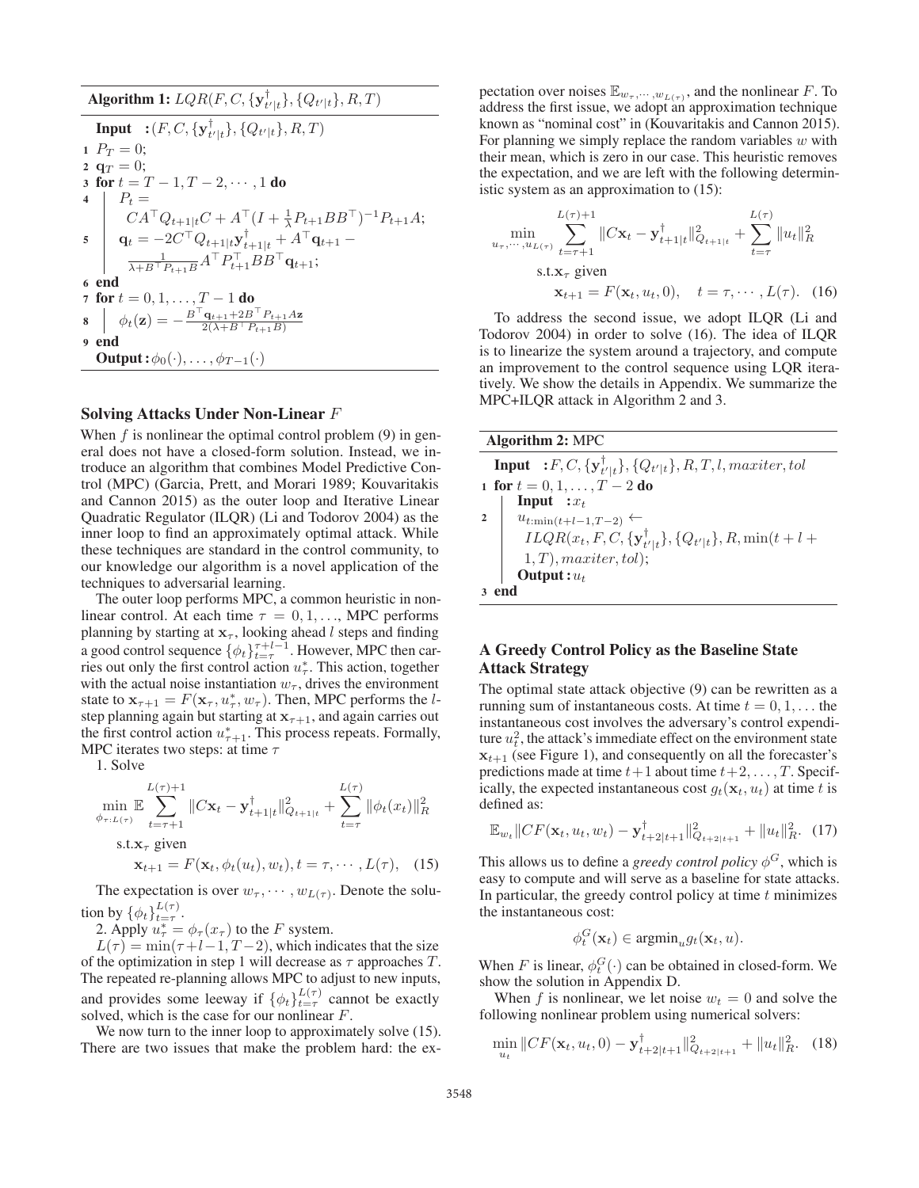Algorithm 1:  $LQR(F, C, \{y_{t'|t}^{\intercal}\}, \{Q_{t'|t}\}, R, T)$ **Input** :  $(F, C, \{y_{t'|t}^{\dagger}\}, \{Q_{t'|t}\}, R, T)$ 1  $P_T = 0;$ 2  $q_T = 0;$ 3 for  $t = T - 1, T - 2, \dots, 1$  do  $P_t =$  $CA^{\top}Q_{t+1|t}C + A^{\top}(I + \frac{1}{\lambda}P_{t+1}BB^{\top})^{-1}P_{t+1}A;$  $\mathbf{q}_t = -2C^\top Q_{t+1|t} \mathbf{y}_{t+1|t}^\top + A^\top \mathbf{q}_{t+1} - \ \frac{1}{\lambda + B^\top P_{t+1} B} A^\top P_{t+1}^\top B B^\top \mathbf{q}_{t+1};$ 6 end 7 for  $t = 0, 1, ..., T - 1$  do  $\oint_{\mathcal{B}} \phi_t(\mathbf{z}) = -\frac{B^{\top} \mathbf{q}_{t+1} + 2B^{\top} P_{t+1} A \mathbf{z}}{2(\lambda + B^{\top} P_{t+1} B)}$ 9 end **Output :**  $\phi_0(\cdot), \ldots, \phi_{T-1}(\cdot)$ 

#### Solving Attacks Under Non-Linear F

When  $f$  is nonlinear the optimal control problem  $(9)$  in general does not have a closed-form solution. Instead, we introduce an algorithm that combines Model Predictive Control (MPC) (Garcia, Prett, and Morari 1989; Kouvaritakis and Cannon 2015) as the outer loop and Iterative Linear Quadratic Regulator (ILQR) (Li and Todorov 2004) as the inner loop to find an approximately optimal attack. While these techniques are standard in the control community, to our knowledge our algorithm is a novel application of the techniques to adversarial learning.

The outer loop performs MPC, a common heuristic in nonlinear control. At each time  $\tau = 0, 1, \ldots$ , MPC performs planning by starting at  $x_{\tau}$ , looking ahead l steps and finding planning by starting at  $\mathbf{x}_{\tau}$ , looking ahead *l* steps and finding<br>a good control sequence  $f \phi_1 \lambda^{\tau+l-1}$ . However, MPC then can a good control sequence  $\{\phi_t\}_{t=\tau}^{\tau+l-1}$ . However, MPC then car-<br>ries out only the first control action  $u^*$ . This action, together ries out only the first control action  $u^*_{\tau}$ . This action, together with the actual noise instantiation  $w_{\tau}$  drives the environment with the actual noise instantiation  $w_{\tau}$ , drives the environment state to  $\mathbf{x}_{\tau+1} = F(\mathbf{x}_{\tau}, u_{\tau}^*, w_{\tau})$ . Then, MPC performs the *l*-<br>step planning again but starting at  $\mathbf{x}_{-1,1}$  and again carries out step planning again but starting at  $\mathbf{x}_{\tau+1}$ , and again carries out the first control action  $u_{\tau+1}^*$ . This process repeats. Formally,<br>MPC iterates two steps: at time  $\tau$ MPC iterates two steps: at time  $\tau$ 

1. Solve

$$
\min_{\phi_{\tau:L(\tau)}} \mathbb{E} \sum_{t=\tau+1}^{L(\tau)+1} \| C\mathbf{x}_t - \mathbf{y}_{t+1|t}^{\dagger} \|_{Q_{t+1|t}}^2 + \sum_{t=\tau}^{L(\tau)} \| \phi_t(x_t) \|_R^2
$$
  
s.t. $\mathbf{x}_{\tau}$  given  

$$
\mathbf{x}_{t+1} = F(\mathbf{x}_t, \phi_t(u_t), w_t), t = \tau, \cdots, L(\tau), \quad (15)
$$

The expectation is over  $w_{\tau}$ ,  $\cdots$ ,  $w_{L(\tau)}$ . Denote the solution by  $\{\phi_t\}_{t=\tau}^{L(\tau)}$ .<br>
2 Apply  $u^* =$ 

2. Apply  $u_{\tau}^* = \phi_{\tau}(x_{\tau})$  to the F system.<br> $L(\tau) = \min(\tau + l - 1, T - 2)$  which ind

 $L(\tau) = \min(\tau + l - 1, T - 2)$ , which indicates that the size of the optimization in step 1 will decrease as  $\tau$  approaches T. The repeated re-planning allows MPC to adjust to new inputs, and provides some leeway if  $\{\phi_t\}_{t=\tau}^{L(\tau)}$  cannot be exactly solved which is the case for our nonlinear F solved, which is the case for our nonlinear F.

We now turn to the inner loop to approximately solve  $(15)$ . There are two issues that make the problem hard: the ex-

pectation over noises  $\mathbb{E}_{w_{\tau}, \dots, w_{L(\tau)}}$ , and the nonlinear F. To address the first issue, we adopt an approximation technique known as "nominal cost" in (Kouvaritakis and Cannon 2015). For planning we simply replace the random variables  $w$  with their mean, which is zero in our case. This heuristic removes the expectation, and we are left with the following deterministic system as an approximation to (15):

$$
\min_{u_{\tau}, \cdots, u_{L(\tau)}} \sum_{t=\tau+1}^{L(\tau)+1} \| C\mathbf{x}_t - \mathbf{y}_{t+1|t}^{\dagger} \|_{Q_{t+1|t}}^2 + \sum_{t=\tau}^{L(\tau)} \| u_t \|_R^2
$$
\ns.t.  $\mathbf{x}_{\tau}$  given\n
$$
\mathbf{x}_{t+1} = F(\mathbf{x}_t, u_t, 0), \quad t = \tau, \cdots, L(\tau). \quad (16)
$$

To address the second issue, we adopt ILQR (Li and Todorov 2004) in order to solve (16). The idea of ILQR is to linearize the system around a trajectory, and compute an improvement to the control sequence using LQR iteratively. We show the details in Appendix. We summarize the MPC+ILQR attack in Algorithm 2 and 3.

| <b>Algorithm 2: MPC</b>                                                            |  |
|------------------------------------------------------------------------------------|--|
| <b>Input</b> : F, C, $\{y_{t' t}^{\dagger}\}, \{Q_{t' t}\}, R, T, l, maxiter, tol$ |  |
| 1 for $t = 0, 1, , T - 2$ do                                                       |  |
| <b>Input</b> : $x_t$                                                               |  |
| $u_{t:\min(t+l-1,T-2)} \leftarrow$                                                 |  |
| $ILQR(x_t, F, C, \{y_{t' t}^{\dagger}\}, \{Q_{t' t}\}, R, \min(t + l +$            |  |
| $1, T$ ), maxiter, tol);                                                           |  |
| Output: $u_t$                                                                      |  |
| 3 end                                                                              |  |

## A Greedy Control Policy as the Baseline State Attack Strategy

The optimal state attack objective (9) can be rewritten as a running sum of instantaneous costs. At time  $t = 0, 1, \ldots$  the instantaneous cost involves the adversary's control expenditure  $u_t^2$ , the attack's immediate effect on the environment state<br> $\mathbf{x}_{t+1}$  (see Figure 1) and consequently on all the forecaster's  $x_{t+1}$  (see Figure 1), and consequently on all the forecaster's predictions made at time  $t+1$  about time  $t+2, \ldots, T$ . Specifically, the expected instantaneous cost  $g_t(\mathbf{x}_t, u_t)$  at time t is defined as:

$$
\mathbb{E}_{w_t} || CF(\mathbf{x}_t, u_t, w_t) - \mathbf{y}_{t+2|t+1}^{\dagger} ||_{Q_{t+2|t+1}}^2 + ||u_t||_R^2.
$$
 (17)

This allows us to define a *greedy control policy*  $\phi$ <sup>G</sup>, which is easy to compute and will serve as a baseline for state attacks. In particular, the greedy control policy at time  $t$  minimizes the instantaneous cost:

$$
\phi_t^G(\mathbf{x}_t) \in \operatorname{argmin}_u g_t(\mathbf{x}_t, u).
$$

When F is linear,  $\phi_t^G(\cdot)$  can be obtained in closed-form. We show the solution in Appendix D show the solution in Appendix D.

When f is nonlinear, we let noise  $w_t = 0$  and solve the following nonlinear problem using numerical solvers:

$$
\min_{u_t} \| CF(\mathbf{x}_t, u_t, 0) - \mathbf{y}_{t+2|t+1}^{\dagger} \|_{Q_{t+2|t+1}}^2 + \| u_t \|_{R}^2.
$$
 (18)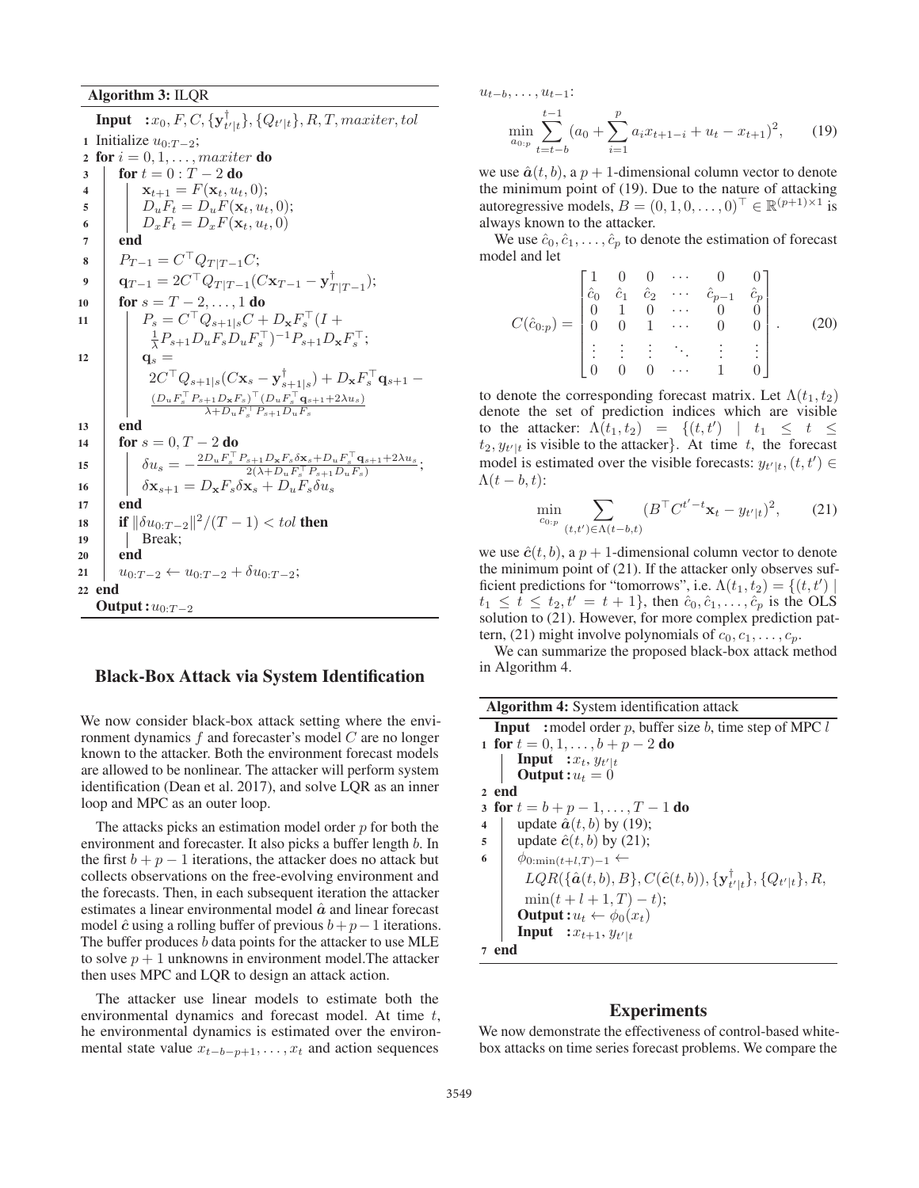#### Algorithm 3: ILQR

 $\textbf{Input} \quad : x_0, F, C, \{\mathbf{y}_{t'|t}^{\intercal}\}, \{Q_{t'|t}\}, R, T, \textit{maxiter}, tol$ 1 Initialize  $u_{0:T-2}$ ; 2 for  $i = 0, 1, ...,$  maxiter do<br>3 | for  $t = 0: T - 2$  do 3 for  $t = 0: T - 2$  do<br>4  $\begin{cases} \n\mathbf{x}_{t+1} = F(\mathbf{x}_t, u_t) \n\end{cases}$ 4 **x**<sub>t+1</sub> =  $F(\mathbf{x}_t, u_t, 0);$ <br>5 **b**<sub>n</sub> $F_t = D_t F(\mathbf{x}_t, u_t)$ 5  $D_uF_t = D_uF(\mathbf{x}_t, u_t, 0);$ <br>6  $D_xF_t = D_xF(\mathbf{x}_t, u_t, 0)$ 6  $D_xF_t = D_xF(\mathbf{x}_t, u_t, 0)$ <br>7 **end** end 8  $P_{T-1} = C^\top Q_{T|T-1}C;$ <br>9  $Q_{T-1} = 2C^\top Q_{T|T-1}(C)$  $\mathbf{q}_{T-1} = 2C^{-1}Q_{T|T-1}(C\mathbf{x}_{T-1} - \mathbf{y}_{T|T-1}^{\mathsf{T}});$ 10 for  $s = T - 2, ..., 1$  do<br>
11  $P = C<sup>T</sup>Q$  $\begin{array}{c|c} \n 11 & | & P_s = C^\top Q_{s+1|s} C + D_{\mathbf{x}} F_s^\top (I + \n & 1 & P & P & F^\top \end{array}$  $\frac{1}{\lambda} P_{s+1} D_u F_s D_u F_s^{\top} )^{-1} P_{s+1} D_{\mathbf{x}} F_s^{\top};$ 12 **q**<sub>s</sub> =  $2C^{-1}Q_{s+1|s}(C\mathbf{x}_{s} - \mathbf{y}_{s+1|s}^{T}) + D_{\mathbf{x}}F_{s}^{T} \mathbf{q}_{s+1} (D_u F_s^{\top} P_{s+1} D_{\mathbf{x}} F_s)^{\top} (D_u F_s^{\top} \mathbf{q}_{s+1} + 2\lambda u_s)$  $\lambda + D_u F_s^{\top} P_{s+1} D_u F_s$ 13 **end**<br>**14 for**  $s = 0, T - 2$  **do** 14 **for**  $s = 0, T - 2$  **do** 15  $\delta u_s = -\frac{2D_u F_s^{\top} P_{s+1} D_{\mathbf{x}} F_s \delta \mathbf{x}_s + D_u F_s^{\top} \mathbf{q}_{s+1} + 2\lambda u_s}{2(\lambda + D_u F_s^{\top} P_{s+1} D_u F_s)};$ 16  $\delta \mathbf{x}_{s+1} = D_{\mathbf{x}} F_s \delta \mathbf{x}_s + D_u F_s \delta u_s$ <br>17 end end 18 if  $\|\delta u_{0:T-2}\|^2/(T-1) < tol$  then<br>19 if Break: | Break;  $20$  end 21  $u_{0:T-2} \leftarrow u_{0:T-2} + \delta u_{0:T-2};$ <sup>22</sup> end **Output** :  $u_{0:T-2}$ 

## Black-Box Attack via System Identification

We now consider black-box attack setting where the environment dynamics f and forecaster's model C are no longer known to the attacker. Both the environment forecast models are allowed to be nonlinear. The attacker will perform system identification (Dean et al. 2017), and solve LQR as an inner loop and MPC as an outer loop.

The attacks picks an estimation model order  $p$  for both the environment and forecaster. It also picks a buffer length b. In the first  $b + p - 1$  iterations, the attacker does no attack but collects observations on the free-evolving environment and the forecasts. Then, in each subsequent iteration the attacker estimates a linear environmental model  $\hat{a}$  and linear forecast model  $\hat{c}$  using a rolling buffer of previous  $b+p-1$  iterations. The buffer produces  $b$  data points for the attacker to use MLE to solve  $p + 1$  unknowns in environment model. The attacker then uses MPC and LQR to design an attack action.

The attacker use linear models to estimate both the environmental dynamics and forecast model. At time t, he environmental dynamics is estimated over the environmental state value  $x_{t-b-p+1}, \ldots, x_t$  and action sequences

 $u_{t-b},\ldots,u_{t-1}$ :

$$
\min_{a_{0:p}} \sum_{t=t-b}^{t-1} (a_0 + \sum_{i=1}^p a_i x_{t+1-i} + u_t - x_{t+1})^2, \qquad (19)
$$

we use  $\hat{a}(t, b)$ , a  $p + 1$ -dimensional column vector to denote the minimum point of (19). Due to the nature of attacking autoregressive models,  $B = (0, 1, 0, \dots, 0)^\top \in \mathbb{R}^{(p+1)\times 1}$  is always known to the attacker.

We use  $\hat{c}_0, \hat{c}_1, \ldots, \hat{c}_p$  to denote the estimation of forecast model and let

$$
C(\hat{c}_{0:p}) = \begin{bmatrix} 1 & 0 & 0 & \cdots & 0 & 0 \\ \hat{c}_0 & \hat{c}_1 & \hat{c}_2 & \cdots & \hat{c}_{p-1} & \hat{c}_p \\ 0 & 1 & 0 & \cdots & 0 & 0 \\ 0 & 0 & 1 & \cdots & 0 & 0 \\ \vdots & \vdots & \vdots & \ddots & \vdots & \vdots \\ 0 & 0 & 0 & \cdots & 1 & 0 \end{bmatrix} .
$$
 (20)

to denote the corresponding forecast matrix. Let  $\Lambda(t_1, t_2)$ denote the set of prediction indices which are visible to the attacker:  $\Lambda(t_1, t_2) = \{ (t, t') \mid t_1 \leq t \leq$ <br>to  $y_{\text{d}(t)}$  is visible to the attacker  $\Lambda$  at time t the forecast  $t_2, y_{t'|t}$  is visible to the attacker}. At time t, the forecast<br>model is estimated over the visible forecasts:  $y_{t+1}(t, t') \in$ model is estimated over the visible forecasts:  $y_{t'|t}$ ,  $(t, t') \in$ <br> $\Lambda(t - h, t)$ .  $\Lambda(t-b,t)$ :

$$
\min_{c_{0:p}} \sum_{(t,t') \in \Lambda(t-b,t)} (B^{\top} C^{t'-t} \mathbf{x}_t - y_{t'|t})^2, \qquad (21)
$$

we use  $\hat{c}(t, b)$ , a  $p + 1$ -dimensional column vector to denote the minimum point of (21). If the attacker only observes sufficient predictions for "tomorrows", i.e.  $\Lambda(t_1, t_2) = \{(t, t') \mid t_1 \le t \le t_2, t'_1 = t_1+1\}$  then  $\hat{c}_0, \hat{c}_1$  and  $\hat{c}_1$  is the OLS  $t_1 \leq t \leq t_2, t' = t + 1$ , then  $\hat{c}_0, \hat{c}_1, \ldots, \hat{c}_p$  is the OLS solution to (21). However for more complex prediction patsolution to (21). However, for more complex prediction pattern, (21) might involve polynomials of  $c_0, c_1, \ldots, c_p$ .

We can summarize the proposed black-box attack method in Algorithm 4.

| <b>Algorithm 4:</b> System identification attack                                         |
|------------------------------------------------------------------------------------------|
| <b>Input</b> : model order p, buffer size b, time step of MPC l                          |
| 1 for $t = 0, 1, , b + p - 2$ do                                                         |
| <b>Input</b> : $x_t$ , $y_{t' t}$<br><b>Output</b> : $u_t = 0$                           |
|                                                                                          |
| 2 end                                                                                    |
| 3 for $t = b + p - 1, , T - 1$ do                                                        |
| update $\hat{a}(t, b)$ by (19);<br>$\overline{\mathbf{4}}$                               |
| update $\hat{c}(t, b)$ by (21);<br>5                                                     |
| $\phi_{0:\min(t+l,T)-1} \leftarrow$<br>6                                                 |
| $LQR(\{\hat{a}(t,b),B\},C(\hat{c}(t,b)),\{\mathbf{y}^{\dagger}_{t't}\},\{Q_{t't t}\},R,$ |
| $\min(t + l + 1, T) - t);$                                                               |
| <b>Output</b> : $u_t \leftarrow \phi_0(x_t)$                                             |
| <b>Input</b> : $x_{t+1}, y_{t' t}$                                                       |
| end                                                                                      |

## **Experiments**

We now demonstrate the effectiveness of control-based whitebox attacks on time series forecast problems. We compare the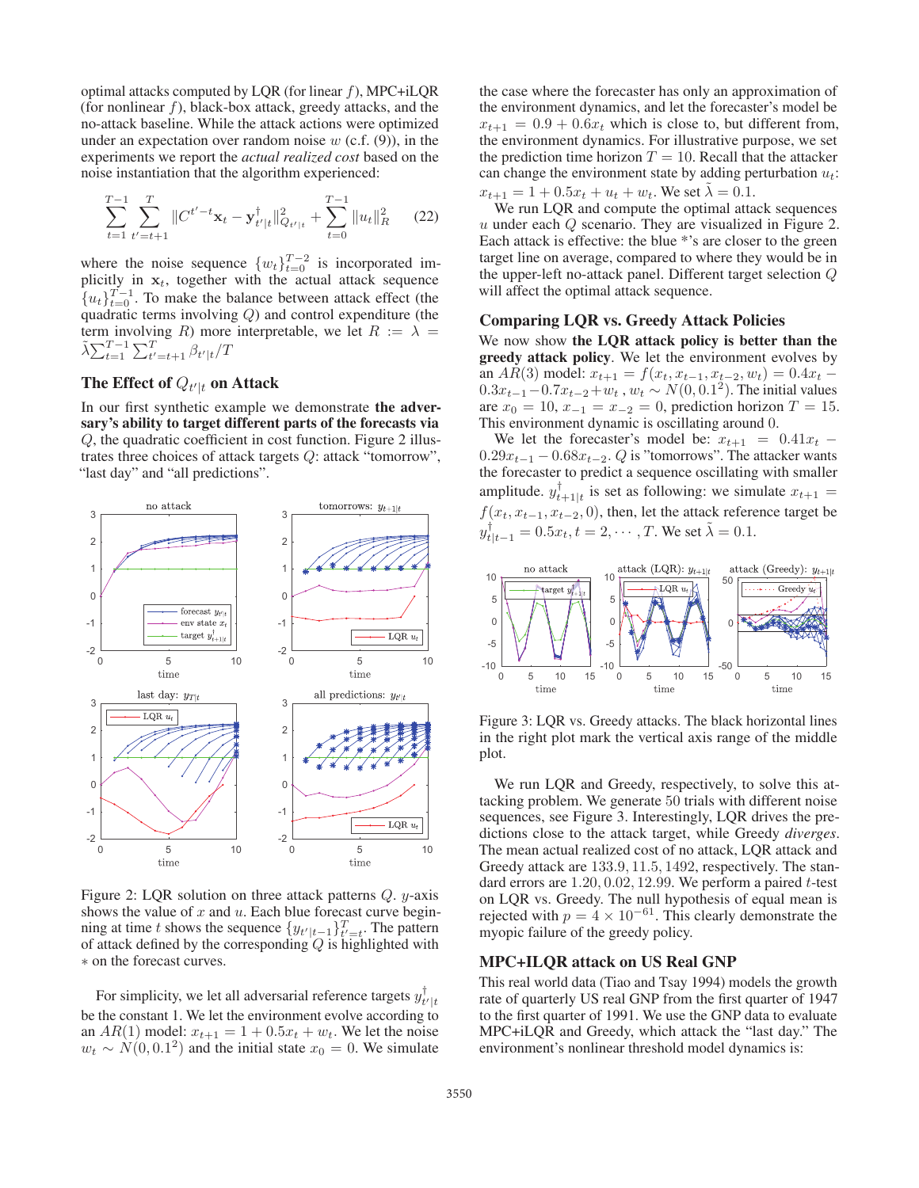optimal attacks computed by LQR (for linear  $f$ ), MPC+iLQR (for nonlinear  $f$ ), black-box attack, greedy attacks, and the no-attack baseline. While the attack actions were optimized under an expectation over random noise  $w$  (c.f. (9)), in the experiments we report the *actual realized cost* based on the noise instantiation that the algorithm experienced:

$$
\sum_{t=1}^{T-1} \sum_{t'=t+1}^{T} \|C^{t'-t} \mathbf{x}_t - \mathbf{y}_{t'|t}^{\dagger}\|_{Q_{t'|t}}^2 + \sum_{t=0}^{T-1} \|u_t\|_{R}^2 \qquad (22)
$$

where the noise sequence  $\{w_t\}_{t=0}^{T-2}$  is incorporated im-<br>plicitly in  $\mathbf{x}_t$ , together with the actual attack sequence  ${u_t}_{t=0}^{T-1}$ . To make the balance between attack effect (the quadratic terms involving Q) and control expenditure (the term involving R) more interpretable, we let  $R := \lambda$  $\tilde{\lambda} \sum_{t=1}^{T-1} \sum_{t'=t+1}^{T} \beta_{t'|t}/T$ 

# The Effect of  $Q_{t'|t}$  on Attack

In our first synthetic example we demonstrate the adversary's ability to target different parts of the forecasts via Q, the quadratic coefficient in cost function. Figure 2 illustrates three choices of attack targets Q: attack "tomorrow", "last day" and "all predictions".



Figure 2: LQR solution on three attack patterns  $Q$ . y-axis shows the value of  $x$  and  $u$ . Each blue forecast curve beginning at time t shows the sequence  $\{y_{t'|t-1}\}_{t=t}^T$ . The pattern of attack defined by the corresponding O is bighlighted with of attack defined by the corresponding  $Q$  is highlighted with ∗ on the forecast curves.

For simplicity, we let all adversarial reference targets  $y_{t'/t}^{\dagger}$  the constant 1. We let the environment avaly according to be the constant 1. We let the environment evolve according to an  $AR(1)$  model:  $x_{t+1} = 1 + 0.5x_t + w_t$ . We let the noise  $w_t \sim N(0, 0.1^2)$  and the initial state  $x_0 = 0$ . We simulate the case where the forecaster has only an approximation of the environment dynamics, and let the forecaster's model be  $x_{t+1} = 0.9 + 0.6x_t$  which is close to, but different from, the environment dynamics. For illustrative purpose, we set the prediction time horizon  $T = 10$ . Recall that the attacker can change the environment state by adding perturbation  $u_t$ :  $x_{t+1} = 1 + 0.5x_t + u_t + w_t$ . We set  $\lambda = 0.1$ .

We run LQR and compute the optimal attack sequences u under each  $Q$  scenario. They are visualized in Figure 2. Each attack is effective: the blue \*'s are closer to the green target line on average, compared to where they would be in the upper-left no-attack panel. Different target selection Q will affect the optimal attack sequence.

## Comparing LQR vs. Greedy Attack Policies

We now show the LQR attack policy is better than the greedy attack policy. We let the environment evolves by an  $AR(3)$  model:  $x_{t+1} = f(x_t, x_{t-1}, x_{t-2}, w_t) = 0.4x_t$  −  $0.3x_{t-1} - 0.7x_{t-2} + w_t$ ,  $w_t \sim N(0, 0.1^2)$ . The initial values are  $x_0 = 10$ ,  $x_{-1} = x_{-2} = 0$ , prediction horizon  $T = 15$ . This environment dynamic is oscillating around 0.

We let the forecaster's model be:  $x_{t+1} = 0.41x_t$  –  $0.29x_{t-1} - 0.68x_{t-2}$ . Q is "tomorrows". The attacker wants the forecaster to predict a sequence oscillating with smaller amplitude.  $y_{t+1|t}^{\dagger}$  is set as following: we simulate  $x_{t+1} = f(x, x_0, x_0)$  then let the etterly reference target be  $f(x_t, x_{t-1}, x_{t-2}, 0)$ , then, let the attack reference target be  $y_{t|t-1}^{\dagger} = 0.5x_t, t = 2, \cdots, T$ . We set  $\tilde{\lambda} = 0.1$ .



Figure 3: LQR vs. Greedy attacks. The black horizontal lines in the right plot mark the vertical axis range of the middle plot.

We run LQR and Greedy, respectively, to solve this attacking problem. We generate 50 trials with different noise sequences, see Figure 3. Interestingly, LQR drives the predictions close to the attack target, while Greedy *diverges*. The mean actual realized cost of no attack, LQR attack and Greedy attack are <sup>133</sup>.9, <sup>11</sup>.5, <sup>1492</sup>, respectively. The standard errors are  $1.20, 0.02, 12.99$ . We perform a paired  $t$ -test on LQR vs. Greedy. The null hypothesis of equal mean is rejected with  $p = 4 \times 10^{-61}$ . This clearly demonstrate the myopic failure of the greedy policy.

#### MPC+ILQR attack on US Real GNP

This real world data (Tiao and Tsay 1994) models the growth rate of quarterly US real GNP from the first quarter of 1947 to the first quarter of 1991. We use the GNP data to evaluate MPC+iLQR and Greedy, which attack the "last day." The environment's nonlinear threshold model dynamics is: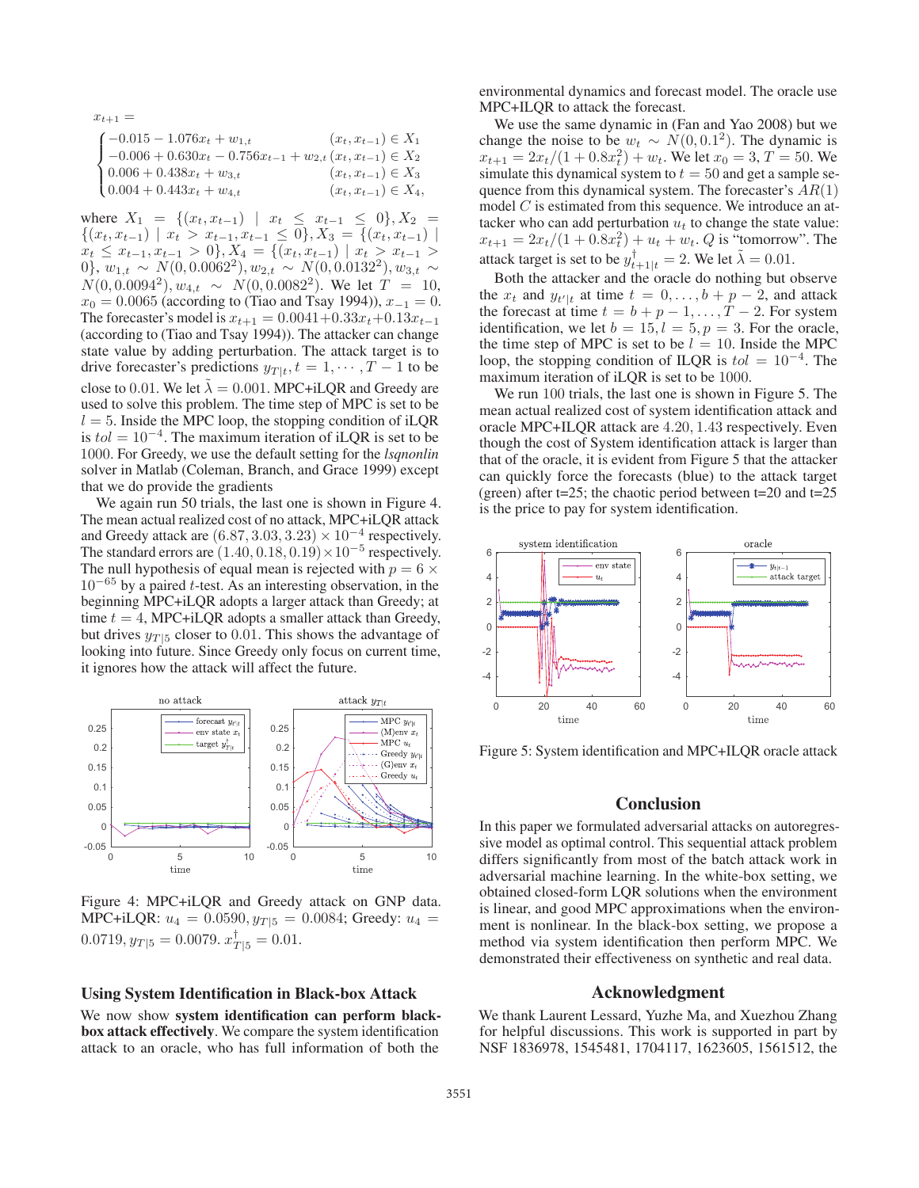$$
x_{t+1} =
$$
\n
$$
\begin{cases}\n-0.015 - 1.076x_t + w_{1,t} & (x_t, x_{t-1}) \in X_1 \\
-0.006 + 0.630x_t - 0.756x_{t-1} + w_{2,t} & (x_t, x_{t-1}) \in X_2 \\
0.006 + 0.438x_t + w_{3,t} & (x_t, x_{t-1}) \in X_3 \\
0.004 + 0.443x_t + w_{4,t} & (x_t, x_{t-1}) \in X_4,\n\end{cases}
$$

where  $X_1 = \{(x_t, x_{t-1}) \mid x_t \leq x_{t-1} \leq 0\}, X_2 =$  $\{(x_t, x_{t-1}) \mid x_t > x_{t-1}, x_{t-1} \leq 0\}, X_3 = \{(x_t, x_{t-1}) \mid x_t < x_{t-1} > 0\}$ <br> $X_4 = \{(x_t, x_{t-1}) \mid x_t > x_{t-1} > 0\}$  $x_t \leq x_{t-1}, x_{t-1} > 0$ ,  $X_4 = \{(x_t, x_{t-1}) \mid x_t > x_{t-1} > 0\}$ <br>  $y_{t+1} \sim N(0, 0.0062^2)$   $y_{t+1} \sim N(0, 0.0132^2)$   $y_{t+1} \sim N(0, 0.0132^2)$ 0},  $w_{1,t} \sim N(0, 0.0062^2), w_{2,t} \sim N(0, 0.0132^2), w_{3,t} \sim$  $N(0, 0.0094^2), w_{4,t} \sim N(0, 0.0082^2)$ . We let  $T = 10$ ,  $x_0 = 0.0065$  (according to (Tiao and Tsay 1994)),  $x_{-1} = 0$ . The forecaster's model is  $x_{t+1} = 0.0041 + 0.33x_t + 0.13x_{t-1}$ (according to (Tiao and Tsay 1994)). The attacker can change state value by adding perturbation. The attack target is to drive forecaster's predictions  $y_{T|t}$ ,  $t = 1, \dots, T-1$  to be close to 0.01. We let  $\tilde{\lambda} = 0.001$ . MPC+iLQR and Greedy are used to solve this problem. The time step of MPC is set to be  $l = 5$ . Inside the MPC loop, the stopping condition of iLQR is  $tol = 10^{-4}$ . The maximum iteration of iLQR is set to be 1000. For Greedy, we use the default setting for the *lsqnonlin* solver in Matlab (Coleman, Branch, and Grace 1999) except that we do provide the gradients

We again run 50 trials, the last one is shown in Figure 4. The mean actual realized cost of no attack, MPC+iLQR attack and Greedy attack are  $(6.87, 3.03, 3.23) \times 10^{-4}$  respectively. The standard errors are  $(1.40, 0.18, 0.19) \times 10^{-5}$  respectively. The null hypothesis of equal mean is rejected with  $p = 6 \times$  $10^{-65}$  by a paired t-test. As an interesting observation, in the beginning MPC+iLQR adopts a larger attack than Greedy; at time  $t = 4$ , MPC+iLQR adopts a smaller attack than Greedy, but drives  $y_{T|5}$  closer to 0.01. This shows the advantage of looking into future. Since Greedy only focus on current time, it ignores how the attack will affect the future.



Figure 4: MPC+iLQR and Greedy attack on GNP data. MPC+iLQR:  $u_4 = 0.0590, y_{T|5} = 0.0084$ ; Greedy:  $u_4 =$  $0.0719, y_{T|5} = 0.0079. x_{T|5}^{\dagger} = 0.01.$ 

#### Using System Identification in Black-box Attack

We now show system identification can perform blackbox attack effectively. We compare the system identification attack to an oracle, who has full information of both the

environmental dynamics and forecast model. The oracle use MPC+ILQR to attack the forecast.

We use the same dynamic in (Fan and Yao 2008) but we change the noise to be  $w_t \sim N(0, 0.1^2)$ . The dynamic is  $x_{t+1} = 2x_t/(1+0.8x_t^2) + w_t$ . We let  $x_0 = 3$ ,  $T = 50$ . We simulate this dynamical system to  $t = 50$  and get a sample sesimulate this dynamical system to  $t = 50$  and get a sample sequence from this dynamical system. The forecaster's  $AR(1)$ model  $C$  is estimated from this sequence. We introduce an attacker who can add perturbation  $u_t$  to change the state value:  $x_{t+1} = 2x_t/(1+0.8x_t^2) + u_t + w_t$ . Q is "tomorrow". The attack target is set to be  $y_{t+1}^{\dagger} = 2$ . We let  $\tilde{\lambda} = 0.01$ .<br>Both the etterlier and the graele do nothing but g

Both the attacker and the oracle do nothing but observe the  $x_t$  and  $y_{t'|t}$  at time  $t = 0, \ldots, b + p - 2$ , and attack<br>the forecast at time  $t = b + p - 1$   $T - 2$ . For system the forecast at time  $t = b + p - 1, \ldots, T - 2$ . For system identification, we let  $b = 15, l = 5, p = 3$ . For the oracle, the time step of MPC is set to be  $l = 10$ . Inside the MPC loop, the stopping condition of ILQR is  $tol = 10^{-4}$ . The maximum iteration of iLQR is set to be 1000.

We run 100 trials, the last one is shown in Figure 5. The mean actual realized cost of system identification attack and oracle MPC+ILQR attack are <sup>4</sup>.20, <sup>1</sup>.<sup>43</sup> respectively. Even though the cost of System identification attack is larger than that of the oracle, it is evident from Figure 5 that the attacker can quickly force the forecasts (blue) to the attack target (green) after  $t=25$ ; the chaotic period between  $t=20$  and  $t=25$ is the price to pay for system identification.



Figure 5: System identification and MPC+ILQR oracle attack

## **Conclusion**

In this paper we formulated adversarial attacks on autoregressive model as optimal control. This sequential attack problem differs significantly from most of the batch attack work in adversarial machine learning. In the white-box setting, we obtained closed-form LQR solutions when the environment is linear, and good MPC approximations when the environment is nonlinear. In the black-box setting, we propose a method via system identification then perform MPC. We demonstrated their effectiveness on synthetic and real data.

## Acknowledgment

We thank Laurent Lessard, Yuzhe Ma, and Xuezhou Zhang for helpful discussions. This work is supported in part by NSF 1836978, 1545481, 1704117, 1623605, 1561512, the